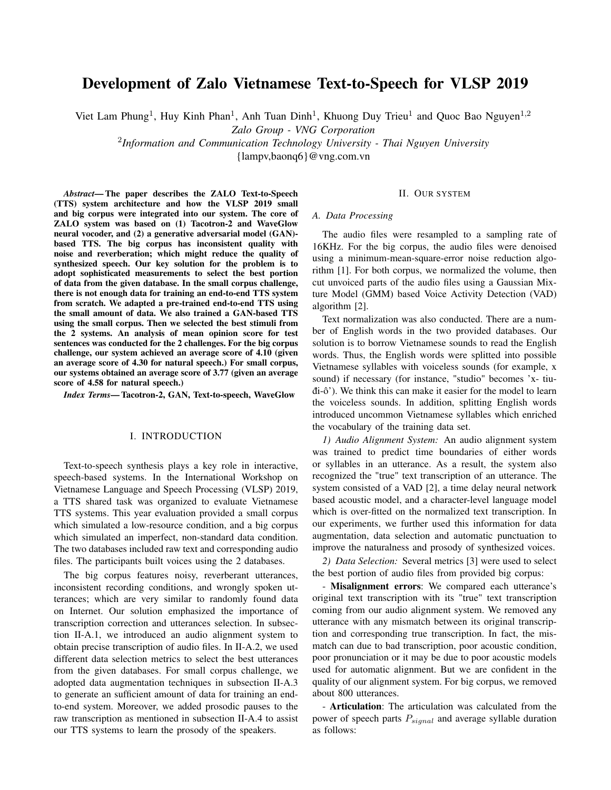# Development of Zalo Vietnamese Text-to-Speech for VLSP 2019

Viet Lam Phung<sup>1</sup>, Huy Kinh Phan<sup>1</sup>, Anh Tuan Dinh<sup>1</sup>, Khuong Duy Trieu<sup>1</sup> and Quoc Bao Nguyen<sup>1,2</sup>

*Zalo Group - VNG Corporation*

2 *Information and Communication Technology University - Thai Nguyen University*

{lampv,baonq6}@vng.com.vn

*Abstract*— The paper describes the ZALO Text-to-Speech (TTS) system architecture and how the VLSP 2019 small and big corpus were integrated into our system. The core of ZALO system was based on (1) Tacotron-2 and WaveGlow neural vocoder, and (2) a generative adversarial model (GAN) based TTS. The big corpus has inconsistent quality with noise and reverberation; which might reduce the quality of synthesized speech. Our key solution for the problem is to adopt sophisticated measurements to select the best portion of data from the given database. In the small corpus challenge, there is not enough data for training an end-to-end TTS system from scratch. We adapted a pre-trained end-to-end TTS using the small amount of data. We also trained a GAN-based TTS using the small corpus. Then we selected the best stimuli from the 2 systems. An analysis of mean opinion score for test sentences was conducted for the 2 challenges. For the big corpus challenge, our system achieved an average score of 4.10 (given an average score of 4.30 for natural speech.) For small corpus, our systems obtained an average score of 3.77 (given an average score of 4.58 for natural speech.)

*Index Terms*— Tacotron-2, GAN, Text-to-speech, WaveGlow

#### I. INTRODUCTION

Text-to-speech synthesis plays a key role in interactive, speech-based systems. In the International Workshop on Vietnamese Language and Speech Processing (VLSP) 2019, a TTS shared task was organized to evaluate Vietnamese TTS systems. This year evaluation provided a small corpus which simulated a low-resource condition, and a big corpus which simulated an imperfect, non-standard data condition. The two databases included raw text and corresponding audio files. The participants built voices using the 2 databases.

The big corpus features noisy, reverberant utterances, inconsistent recording conditions, and wrongly spoken utterances; which are very similar to randomly found data on Internet. Our solution emphasized the importance of transcription correction and utterances selection. In subsection II-A.1, we introduced an audio alignment system to obtain precise transcription of audio files. In II-A.2, we used different data selection metrics to select the best utterances from the given databases. For small corpus challenge, we adopted data augmentation techniques in subsection II-A.3 to generate an sufficient amount of data for training an endto-end system. Moreover, we added prosodic pauses to the raw transcription as mentioned in subsection II-A.4 to assist our TTS systems to learn the prosody of the speakers.

## II. OUR SYSTEM

### *A. Data Processing*

The audio files were resampled to a sampling rate of 16KHz. For the big corpus, the audio files were denoised using a minimum-mean-square-error noise reduction algorithm [1]. For both corpus, we normalized the volume, then cut unvoiced parts of the audio files using a Gaussian Mixture Model (GMM) based Voice Activity Detection (VAD) algorithm [2].

Text normalization was also conducted. There are a number of English words in the two provided databases. Our solution is to borrow Vietnamese sounds to read the English words. Thus, the English words were splitted into possible Vietnamese syllables with voiceless sounds (for example, x sound) if necessary (for instance, "studio" becomes 'x- tiu $di- $\hat{o}$ '$ ). We think this can make it easier for the model to learn the voiceless sounds. In addition, splitting English words introduced uncommon Vietnamese syllables which enriched the vocabulary of the training data set.

*1) Audio Alignment System:* An audio alignment system was trained to predict time boundaries of either words or syllables in an utterance. As a result, the system also recognized the "true" text transcription of an utterance. The system consisted of a VAD [2], a time delay neural network based acoustic model, and a character-level language model which is over-fitted on the normalized text transcription. In our experiments, we further used this information for data augmentation, data selection and automatic punctuation to improve the naturalness and prosody of synthesized voices.

*2) Data Selection:* Several metrics [3] were used to select the best portion of audio files from provided big corpus:

- Misalignment errors: We compared each utterance's original text transcription with its "true" text transcription coming from our audio alignment system. We removed any utterance with any mismatch between its original transcription and corresponding true transcription. In fact, the mismatch can due to bad transcription, poor acoustic condition, poor pronunciation or it may be due to poor acoustic models used for automatic alignment. But we are confident in the quality of our alignment system. For big corpus, we removed about 800 utterances.

- Articulation: The articulation was calculated from the power of speech parts  $P_{signal}$  and average syllable duration as follows: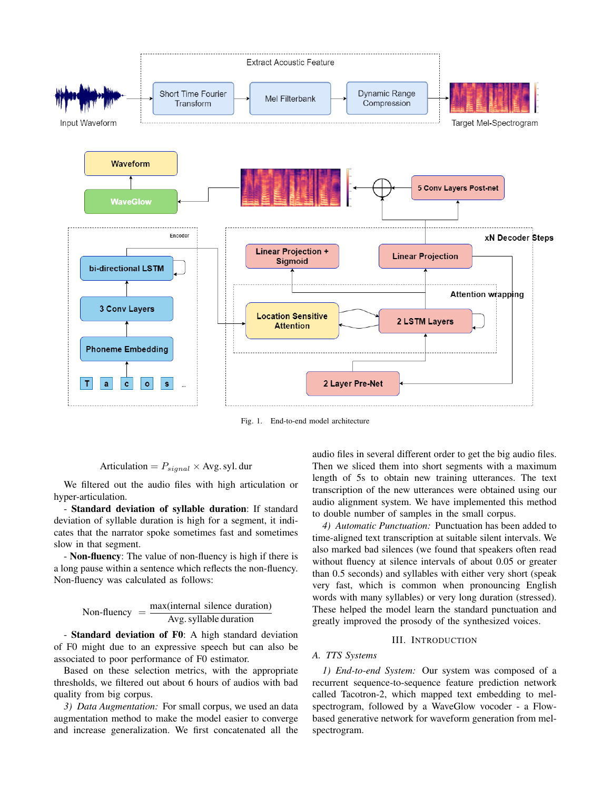

Fig. 1. End-to-end model architecture

Articulation = 
$$
P_{signal} \times \text{Avg. syl.}
$$
 dur

We filtered out the audio files with high articulation or hyper-articulation.

- Standard deviation of syllable duration: If standard deviation of syllable duration is high for a segment, it indicates that the narrator spoke sometimes fast and sometimes slow in that segment.

- Non-fluency: The value of non-fluency is high if there is a long pause within a sentence which reflects the non-fluency. Non-fluency was calculated as follows:

Non-fluency = 
$$
\frac{\text{max}(\text{internal silence duration})}{\text{Avg. syllable duration}}
$$

- Standard deviation of F0: A high standard deviation of F0 might due to an expressive speech but can also be associated to poor performance of F0 estimator.

Based on these selection metrics, with the appropriate thresholds, we filtered out about 6 hours of audios with bad quality from big corpus.

*3) Data Augmentation:* For small corpus, we used an data augmentation method to make the model easier to converge and increase generalization. We first concatenated all the

audio files in several different order to get the big audio files. Then we sliced them into short segments with a maximum length of 5s to obtain new training utterances. The text transcription of the new utterances were obtained using our audio alignment system. We have implemented this method to double number of samples in the small corpus.

*4) Automatic Punctuation:* Punctuation has been added to time-aligned text transcription at suitable silent intervals. We also marked bad silences (we found that speakers often read without fluency at silence intervals of about 0.05 or greater than 0.5 seconds) and syllables with either very short (speak very fast, which is common when pronouncing English words with many syllables) or very long duration (stressed). These helped the model learn the standard punctuation and greatly improved the prosody of the synthesized voices.

# III. INTRODUCTION

# *A. TTS Systems*

*1) End-to-end System:* Our system was composed of a recurrent sequence-to-sequence feature prediction network called Tacotron-2, which mapped text embedding to melspectrogram, followed by a WaveGlow vocoder - a Flowbased generative network for waveform generation from melspectrogram.